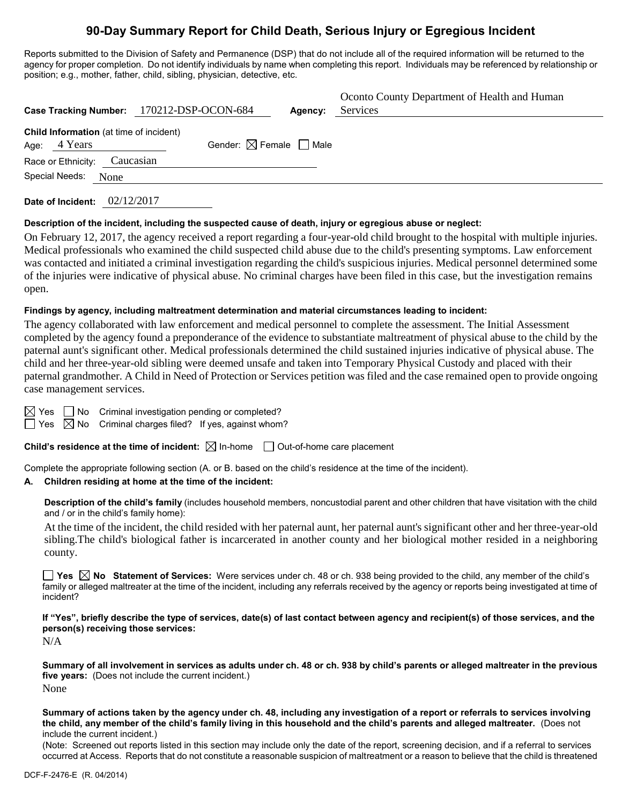# **90-Day Summary Report for Child Death, Serious Injury or Egregious Incident**

Reports submitted to the Division of Safety and Permanence (DSP) that do not include all of the required information will be returned to the agency for proper completion. Do not identify individuals by name when completing this report. Individuals may be referenced by relationship or position; e.g., mother, father, child, sibling, physician, detective, etc.

|                                                           | Case Tracking Number: 170212-DSP-OCON-684 | Agency: | Oconto County Department of Health and Human<br>Services |
|-----------------------------------------------------------|-------------------------------------------|---------|----------------------------------------------------------|
| Child Information (at time of incident)<br>Age: $4$ Years | Gender: $\boxtimes$ Female $\Box$ Male    |         |                                                          |
| Race or Ethnicity: Caucasian                              |                                           |         |                                                          |
| Special Needs:<br>None                                    |                                           |         |                                                          |
|                                                           |                                           |         |                                                          |

**Date of Incident:** 02/12/2017

### **Description of the incident, including the suspected cause of death, injury or egregious abuse or neglect:**

On February 12, 2017, the agency received a report regarding a four-year-old child brought to the hospital with multiple injuries. Medical professionals who examined the child suspected child abuse due to the child's presenting symptoms. Law enforcement was contacted and initiated a criminal investigation regarding the child's suspicious injuries. Medical personnel determined some of the injuries were indicative of physical abuse. No criminal charges have been filed in this case, but the investigation remains open.

## **Findings by agency, including maltreatment determination and material circumstances leading to incident:**

The agency collaborated with law enforcement and medical personnel to complete the assessment. The Initial Assessment completed by the agency found a preponderance of the evidence to substantiate maltreatment of physical abuse to the child by the paternal aunt's significant other. Medical professionals determined the child sustained injuries indicative of physical abuse. The child and her three-year-old sibling were deemed unsafe and taken into Temporary Physical Custody and placed with their paternal grandmother. A Child in Need of Protection or Services petition was filed and the case remained open to provide ongoing case management services.

 $\boxtimes$  Yes  $\Box$  No Criminal investigation pending or completed?

 $\Box$  Yes  $\boxtimes$  No Criminal charges filed? If yes, against whom?

**Child's residence at the time of incident:**  $\boxtimes$  In-home  $\Box$  Out-of-home care placement

Complete the appropriate following section (A. or B. based on the child's residence at the time of the incident).

# **A. Children residing at home at the time of the incident:**

**Description of the child's family** (includes household members, noncustodial parent and other children that have visitation with the child and / or in the child's family home):

At the time of the incident, the child resided with her paternal aunt, her paternal aunt's significant other and her three-year-old sibling.The child's biological father is incarcerated in another county and her biological mother resided in a neighboring county.

■ Yes **No** Statement of Services: Were services under ch. 48 or ch. 938 being provided to the child, any member of the child's family or alleged maltreater at the time of the incident, including any referrals received by the agency or reports being investigated at time of incident?

**If "Yes", briefly describe the type of services, date(s) of last contact between agency and recipient(s) of those services, and the person(s) receiving those services:**

N/A

**Summary of all involvement in services as adults under ch. 48 or ch. 938 by child's parents or alleged maltreater in the previous five years:** (Does not include the current incident.) None

**Summary of actions taken by the agency under ch. 48, including any investigation of a report or referrals to services involving the child, any member of the child's family living in this household and the child's parents and alleged maltreater.** (Does not include the current incident.)

(Note: Screened out reports listed in this section may include only the date of the report, screening decision, and if a referral to services occurred at Access. Reports that do not constitute a reasonable suspicion of maltreatment or a reason to believe that the child is threatened